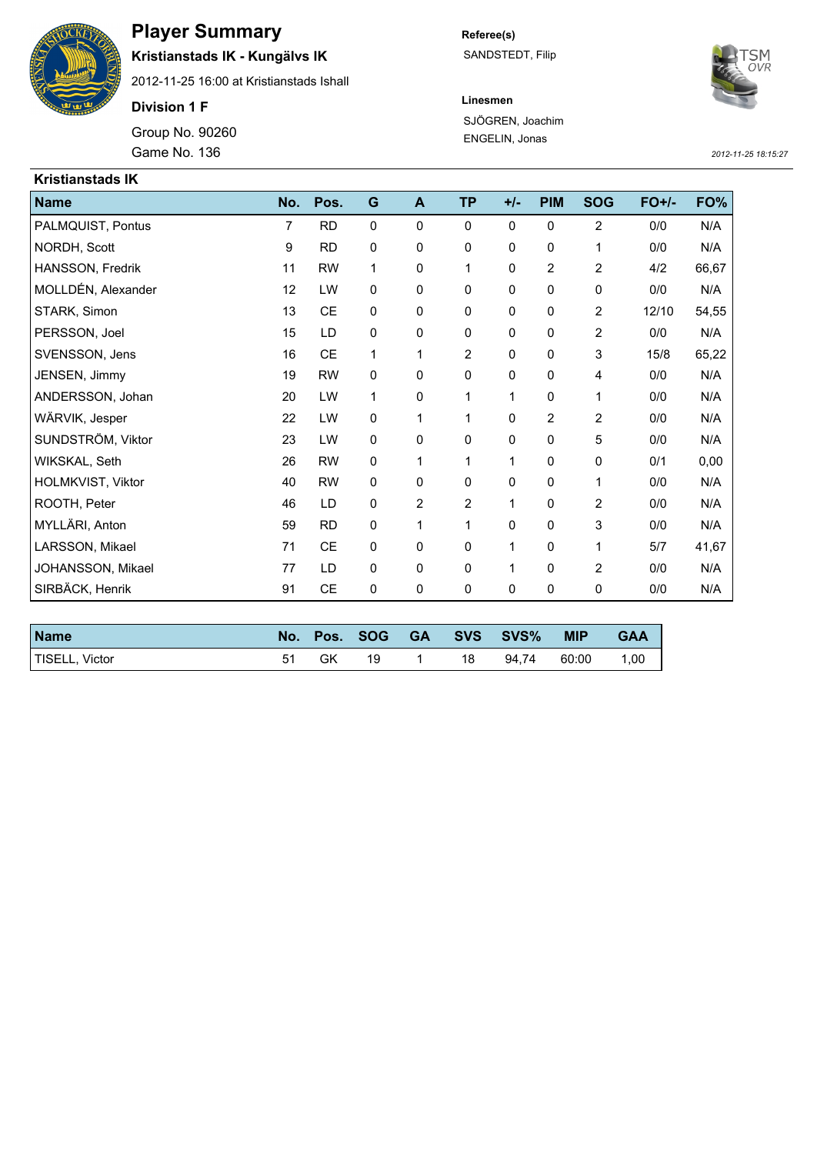

## **Player Summary**

**Kristianstads IK - Kungälvs IK**

2012-11-25 16:00 at Kristianstads Ishall

**Division 1 F**

Game No. 136 *2012-11-25 18:15:27* Group No. 90260

**Referee(s)** SANDSTEDT, Filip



**Linesmen** SJÖGREN, Joachim ENGELIN, Jonas

| <b>Kristianstads IK</b> |     |           |             |   |                |       |                |                |         |       |
|-------------------------|-----|-----------|-------------|---|----------------|-------|----------------|----------------|---------|-------|
| <b>Name</b>             | No. | Pos.      | G           | A | <b>TP</b>      | $+/-$ | <b>PIM</b>     | <b>SOG</b>     | $FO+/-$ | FO%   |
| PALMQUIST, Pontus       | 7   | <b>RD</b> | $\mathbf 0$ | 0 | $\mathbf 0$    | 0     | $\mathbf 0$    | $\overline{c}$ | 0/0     | N/A   |
| NORDH, Scott            | 9   | <b>RD</b> | 0           | 0 | 0              | 0     | 0              | 1              | 0/0     | N/A   |
| HANSSON, Fredrik        | 11  | <b>RW</b> | 1           | 0 | $\mathbf 1$    | 0     | $\overline{2}$ | $\overline{2}$ | 4/2     | 66,67 |
| MOLLDÉN, Alexander      | 12  | LW        | 0           | 0 | 0              | 0     | 0              | 0              | 0/0     | N/A   |
| STARK, Simon            | 13  | CE        | 0           | 0 | $\mathbf 0$    | 0     | 0              | 2              | 12/10   | 54,55 |
| PERSSON, Joel           | 15  | LD        | $\pmb{0}$   | 0 | 0              | 0     | $\mathbf 0$    | $\overline{c}$ | 0/0     | N/A   |
| SVENSSON, Jens          | 16  | CE        | 1           | 1 | $\overline{2}$ | 0     | $\mathbf 0$    | 3              | 15/8    | 65,22 |
| JENSEN, Jimmy           | 19  | <b>RW</b> | 0           | 0 | $\mathbf 0$    | 0     | $\mathbf 0$    | 4              | 0/0     | N/A   |
| ANDERSSON, Johan        | 20  | LW        | 1           | 0 | 1              | 1     | $\mathbf 0$    | 1              | 0/0     | N/A   |
| WÄRVIK, Jesper          | 22  | LW        | $\mathbf 0$ | 1 | 1              | 0     | 2              | 2              | 0/0     | N/A   |
| SUNDSTRÖM, Viktor       | 23  | LW        | 0           | 0 | $\mathbf 0$    | 0     | $\mathbf 0$    | 5              | 0/0     | N/A   |
| WIKSKAL, Seth           | 26  | <b>RW</b> | 0           | 1 | 1              | 1     | $\mathbf 0$    | 0              | 0/1     | 0,00  |
| HOLMKVIST, Viktor       | 40  | <b>RW</b> | 0           | 0 | $\mathbf 0$    | 0     | $\mathbf 0$    | 1              | 0/0     | N/A   |
| ROOTH, Peter            | 46  | LD        | 0           | 2 | $\overline{2}$ | 1     | 0              | $\overline{2}$ | 0/0     | N/A   |
| MYLLÄRI, Anton          | 59  | <b>RD</b> | 0           | 1 | 1              | 0     | $\mathbf 0$    | 3              | 0/0     | N/A   |
| LARSSON, Mikael         | 71  | CE        | 0           | 0 | $\mathbf 0$    | 1     | 0              | 1              | 5/7     | 41,67 |
| JOHANSSON, Mikael       | 77  | LD        | 0           | 0 | 0              | 1     | 0              | 2              | 0/0     | N/A   |
| SIRBÄCK, Henrik         | 91  | <b>CE</b> | 0           | 0 | 0              | 0     | 0              | 0              | 0/0     | N/A   |

| <b>Name</b>    | No. | Pos. | <b>SOG</b> | <b>GA</b> |    | <b>SVS SVS%</b> | <b>MIP</b> | <b>GAA</b> |
|----------------|-----|------|------------|-----------|----|-----------------|------------|------------|
| TISELL, Victor |     | GK   | 19         |           | 18 | 94.74           | 60:00      | 1,00       |